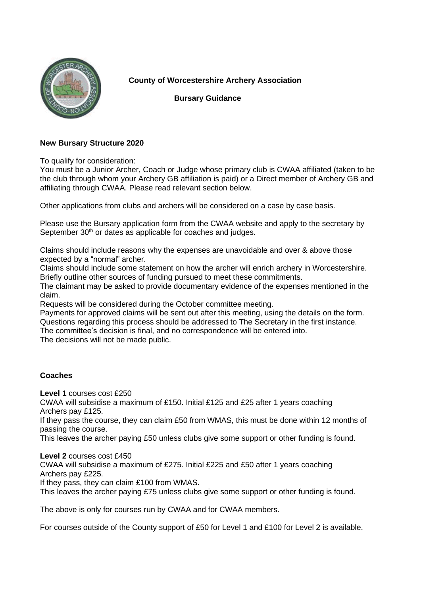

**County of Worcestershire Archery Association**

 **Bursary Guidance**

## **New Bursary Structure 2020**

To qualify for consideration:

You must be a Junior Archer, Coach or Judge whose primary club is CWAA affiliated (taken to be the club through whom your Archery GB affiliation is paid) or a Direct member of Archery GB and affiliating through CWAA. Please read relevant section below.

Other applications from clubs and archers will be considered on a case by case basis.

Please use the Bursary application form from the CWAA website and apply to the secretary by September 30<sup>th</sup> or dates as applicable for coaches and judges.

Claims should include reasons why the expenses are unavoidable and over & above those expected by a "normal" archer.

Claims should include some statement on how the archer will enrich archery in Worcestershire. Briefly outline other sources of funding pursued to meet these commitments.

The claimant may be asked to provide documentary evidence of the expenses mentioned in the claim.

Requests will be considered during the October committee meeting.

Payments for approved claims will be sent out after this meeting, using the details on the form. Questions regarding this process should be addressed to The Secretary in the first instance. The committee's decision is final, and no correspondence will be entered into.

The decisions will not be made public.

## **Coaches**

**Level 1** courses cost £250

CWAA will subsidise a maximum of £150. Initial £125 and £25 after 1 years coaching Archers pay £125.

If they pass the course, they can claim £50 from WMAS, this must be done within 12 months of passing the course.

This leaves the archer paying £50 unless clubs give some support or other funding is found.

**Level 2** courses cost £450

CWAA will subsidise a maximum of £275. Initial £225 and £50 after 1 years coaching Archers pay £225.

If they pass, they can claim £100 from WMAS.

This leaves the archer paying £75 unless clubs give some support or other funding is found.

The above is only for courses run by CWAA and for CWAA members.

For courses outside of the County support of £50 for Level 1 and £100 for Level 2 is available.